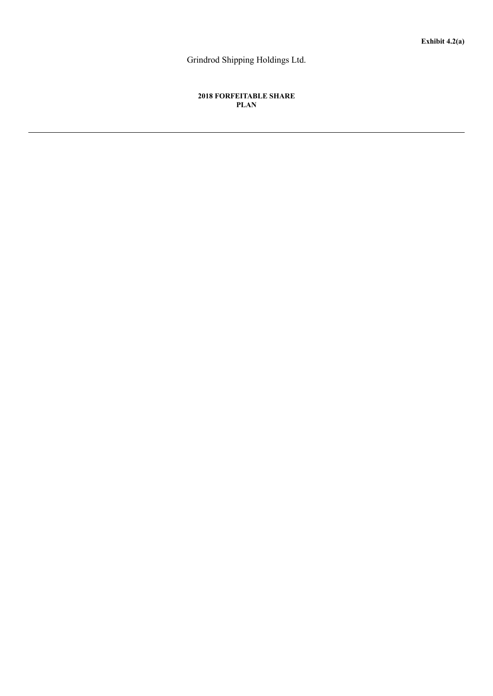Grindrod Shipping Holdings Ltd.

# **2018 FORFEITABLE SHARE PLAN**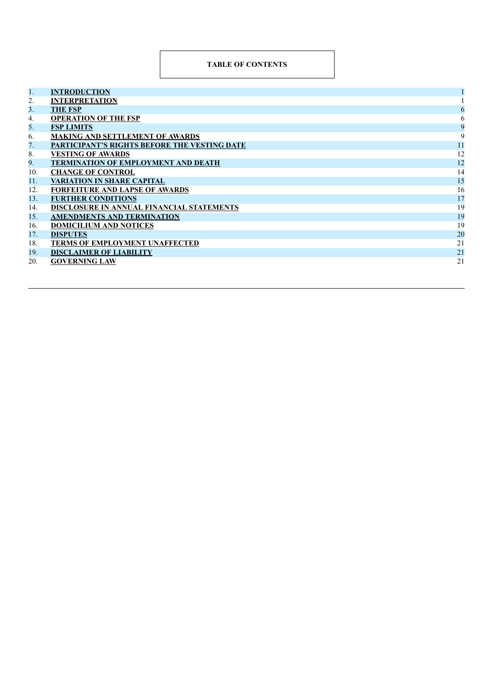# **TABLE OF CONTENTS**

| 1.  | <b>INTRODUCTION</b>                                 |    |
|-----|-----------------------------------------------------|----|
| 2.  | <b>INTERPRETATION</b>                               |    |
| 3.  | <b>THE FSP</b>                                      | 6  |
| 4.  | <b>OPERATION OF THE FSP</b>                         | 6  |
| 5.  | <b>FSP LIMITS</b>                                   | 9  |
| 6.  | <b>MAKING AND SETTLEMENT OF AWARDS</b>              | 9  |
| 7.  | <b>PARTICIPANT'S RIGHTS BEFORE THE VESTING DATE</b> | 11 |
| 8.  | <b>VESTING OF AWARDS</b>                            | 12 |
| 9.  | <b>TERMINATION OF EMPLOYMENT AND DEATH</b>          | 12 |
| 10. | <b>CHANGE OF CONTROL</b>                            | 14 |
| 11. | <b>VARIATION IN SHARE CAPITAL</b>                   | 15 |
| 12. | <b>FORFEITURE AND LAPSE OF AWARDS</b>               | 16 |
| 13. | <b>FURTHER CONDITIONS</b>                           | 17 |
| 14. | DISCLOSURE IN ANNUAL FINANCIAL STATEMENTS           | 19 |
| 15. | <b>AMENDMENTS AND TERMINATION</b>                   | 19 |
| 16. | <b>DOMICILIUM AND NOTICES</b>                       | 19 |
| 17. | <b>DISPUTES</b>                                     | 20 |
| 18. | <b>TERMS OF EMPLOYMENT UNAFFECTED</b>               | 21 |
| 19. | <b>DISCLAIMER OF LIABILITY</b>                      | 21 |
| 20. | <b>GOVERNING LAW</b>                                | 21 |
|     |                                                     |    |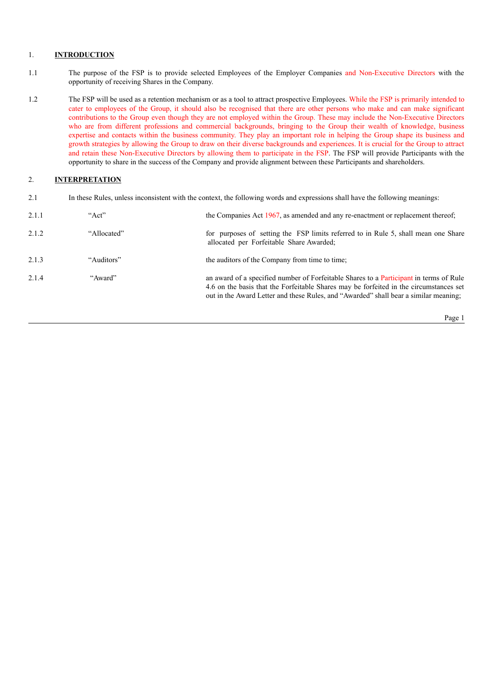## 1. **INTRODUCTION**

- 1.1 The purpose of the FSP is to provide selected Employees of the Employer Companies and Non-Executive Directors with the opportunity of receiving Shares in the Company.
- 1.2 The FSP will be used as a retention mechanism or as a tool to attract prospective Employees. While the FSP is primarily intended to cater to employees of the Group, it should also be recognised that there are other persons who make and can make significant contributions to the Group even though they are not employed within the Group. These may include the Non-Executive Directors who are from different professions and commercial backgrounds, bringing to the Group their wealth of knowledge, business expertise and contacts within the business community. They play an important role in helping the Group shape its business and growth strategies by allowing the Group to draw on their diverse backgrounds and experiences. It is crucial for the Group to attract and retain these Non-Executive Directors by allowing them to participate in the FSP. The FSP will provide Participants with the opportunity to share in the success of the Company and provide alignment between these Participants and shareholders.

# 2. **INTERPRETATION**

2.1 In these Rules, unless inconsistent with the context, the following words and expressions shall have the following meanings:

| 2.1.1 | " $Act"$    | the Companies Act 1967, as amended and any re-enactment or replacement thereof;                                                                                                                                                                                          |
|-------|-------------|--------------------------------------------------------------------------------------------------------------------------------------------------------------------------------------------------------------------------------------------------------------------------|
| 2.1.2 | "Allocated" | for purposes of setting the FSP limits referred to in Rule 5, shall mean one Share<br>allocated per Forfeitable Share Awarded;                                                                                                                                           |
| 2.1.3 | "Auditors"  | the auditors of the Company from time to time;                                                                                                                                                                                                                           |
| 2.1.4 | "Award"     | an award of a specified number of Forfeitable Shares to a Participant in terms of Rule<br>4.6 on the basis that the Forfeitable Shares may be forfeited in the circumstances set<br>out in the Award Letter and these Rules, and "Awarded" shall bear a similar meaning; |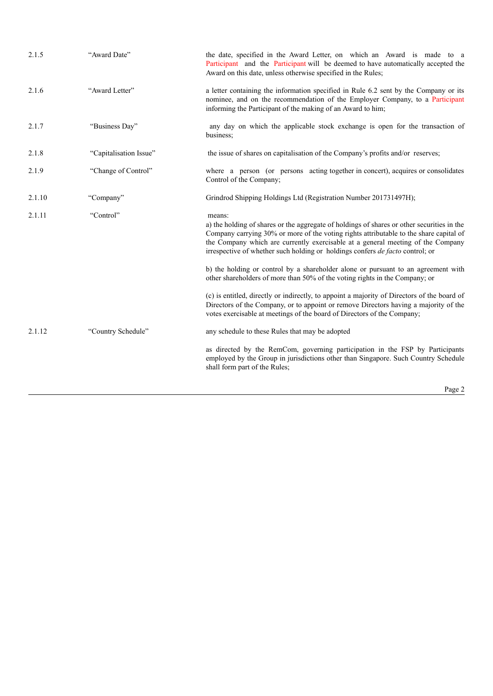| 2.1.5  | "Award Date"           | the date, specified in the Award Letter, on which an Award is made to a<br>Participant and the Participant will be deemed to have automatically accepted the<br>Award on this date, unless otherwise specified in the Rules;                                                                                                                                       |
|--------|------------------------|--------------------------------------------------------------------------------------------------------------------------------------------------------------------------------------------------------------------------------------------------------------------------------------------------------------------------------------------------------------------|
| 2.1.6  | "Award Letter"         | a letter containing the information specified in Rule 6.2 sent by the Company or its<br>nominee, and on the recommendation of the Employer Company, to a Participant<br>informing the Participant of the making of an Award to him;                                                                                                                                |
| 2.1.7  | "Business Day"         | any day on which the applicable stock exchange is open for the transaction of<br>business:                                                                                                                                                                                                                                                                         |
| 2.1.8  | "Capitalisation Issue" | the issue of shares on capitalisation of the Company's profits and/or reserves;                                                                                                                                                                                                                                                                                    |
| 2.1.9  | "Change of Control"    | where a person (or persons acting together in concert), acquires or consolidates<br>Control of the Company;                                                                                                                                                                                                                                                        |
| 2.1.10 | "Company"              | Grindrod Shipping Holdings Ltd (Registration Number 201731497H);                                                                                                                                                                                                                                                                                                   |
| 2.1.11 | "Control"              | means:<br>a) the holding of shares or the aggregate of holdings of shares or other securities in the<br>Company carrying 30% or more of the voting rights attributable to the share capital of<br>the Company which are currently exercisable at a general meeting of the Company<br>irrespective of whether such holding or holdings confers de facto control; or |
|        |                        | b) the holding or control by a shareholder alone or pursuant to an agreement with<br>other shareholders of more than 50% of the voting rights in the Company; or                                                                                                                                                                                                   |
|        |                        | (c) is entitled, directly or indirectly, to appoint a majority of Directors of the board of<br>Directors of the Company, or to appoint or remove Directors having a majority of the<br>votes exercisable at meetings of the board of Directors of the Company;                                                                                                     |
| 2.1.12 | "Country Schedule"     | any schedule to these Rules that may be adopted                                                                                                                                                                                                                                                                                                                    |
|        |                        | as directed by the RemCom, governing participation in the FSP by Participants<br>employed by the Group in jurisdictions other than Singapore. Such Country Schedule<br>shall form part of the Rules;                                                                                                                                                               |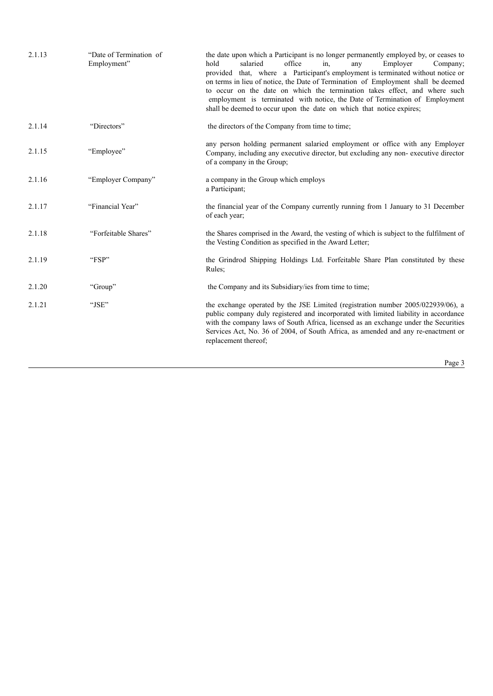| 2.1.13 | "Date of Termination of<br>Employment" | the date upon which a Participant is no longer permanently employed by, or ceases to<br>hold<br>salaried<br>office<br>Employer<br>in.<br>Company;<br>any<br>provided that, where a Participant's employment is terminated without notice or<br>on terms in lieu of notice, the Date of Termination of Employment shall be deemed<br>to occur on the date on which the termination takes effect, and where such<br>employment is terminated with notice, the Date of Termination of Employment<br>shall be deemed to occur upon the date on which that notice expires; |
|--------|----------------------------------------|-----------------------------------------------------------------------------------------------------------------------------------------------------------------------------------------------------------------------------------------------------------------------------------------------------------------------------------------------------------------------------------------------------------------------------------------------------------------------------------------------------------------------------------------------------------------------|
| 2.1.14 | "Directors"                            | the directors of the Company from time to time;                                                                                                                                                                                                                                                                                                                                                                                                                                                                                                                       |
| 2.1.15 | "Employee"                             | any person holding permanent salaried employment or office with any Employer<br>Company, including any executive director, but excluding any non-executive director<br>of a company in the Group;                                                                                                                                                                                                                                                                                                                                                                     |
| 2.1.16 | "Employer Company"                     | a company in the Group which employs<br>a Participant;                                                                                                                                                                                                                                                                                                                                                                                                                                                                                                                |
| 2.1.17 | "Financial Year"                       | the financial year of the Company currently running from 1 January to 31 December<br>of each year;                                                                                                                                                                                                                                                                                                                                                                                                                                                                    |
| 2.1.18 | "Forfeitable Shares"                   | the Shares comprised in the Award, the vesting of which is subject to the fulfilment of<br>the Vesting Condition as specified in the Award Letter;                                                                                                                                                                                                                                                                                                                                                                                                                    |
| 2.1.19 | "FSP"                                  | the Grindrod Shipping Holdings Ltd. Forfeitable Share Plan constituted by these<br>Rules;                                                                                                                                                                                                                                                                                                                                                                                                                                                                             |
| 2.1.20 | "Group"                                | the Company and its Subsidiary/ies from time to time;                                                                                                                                                                                                                                                                                                                                                                                                                                                                                                                 |
| 2.1.21 | "JSE"                                  | the exchange operated by the JSE Limited (registration number 2005/022939/06), a<br>public company duly registered and incorporated with limited liability in accordance<br>with the company laws of South Africa, licensed as an exchange under the Securities<br>Services Act, No. 36 of 2004, of South Africa, as amended and any re-enactment or<br>replacement thereof;                                                                                                                                                                                          |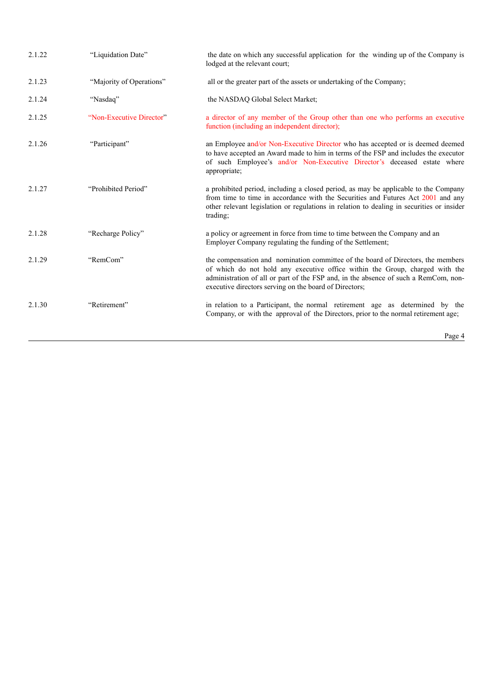| 2.1.22 | "Liquidation Date"       | the date on which any successful application for the winding up of the Company is<br>lodged at the relevant court;                                                                                                                                                                                                |
|--------|--------------------------|-------------------------------------------------------------------------------------------------------------------------------------------------------------------------------------------------------------------------------------------------------------------------------------------------------------------|
| 2.1.23 | "Majority of Operations" | all or the greater part of the assets or undertaking of the Company;                                                                                                                                                                                                                                              |
| 2.1.24 | "Nasdaq"                 | the NASDAQ Global Select Market;                                                                                                                                                                                                                                                                                  |
| 2.1.25 | "Non-Executive Director" | a director of any member of the Group other than one who performs an executive<br>function (including an independent director);                                                                                                                                                                                   |
| 2.1.26 | "Participant"            | an Employee and/or Non-Executive Director who has accepted or is deemed deemed<br>to have accepted an Award made to him in terms of the FSP and includes the executor<br>of such Employee's and/or Non-Executive Director's deceased estate where<br>appropriate;                                                 |
| 2.1.27 | "Prohibited Period"      | a prohibited period, including a closed period, as may be applicable to the Company<br>from time to time in accordance with the Securities and Futures Act 2001 and any<br>other relevant legislation or regulations in relation to dealing in securities or insider<br>trading;                                  |
| 2.1.28 | "Recharge Policy"        | a policy or agreement in force from time to time between the Company and an<br>Employer Company regulating the funding of the Settlement;                                                                                                                                                                         |
| 2.1.29 | "RemCom"                 | the compensation and nomination committee of the board of Directors, the members<br>of which do not hold any executive office within the Group, charged with the<br>administration of all or part of the FSP and, in the absence of such a RemCom, non-<br>executive directors serving on the board of Directors; |
| 2.1.30 | "Retirement"             | in relation to a Participant, the normal retirement age as determined by the<br>Company, or with the approval of the Directors, prior to the normal retirement age;                                                                                                                                               |
|        |                          | $D_{\alpha\alpha\alpha}$ $\Lambda$                                                                                                                                                                                                                                                                                |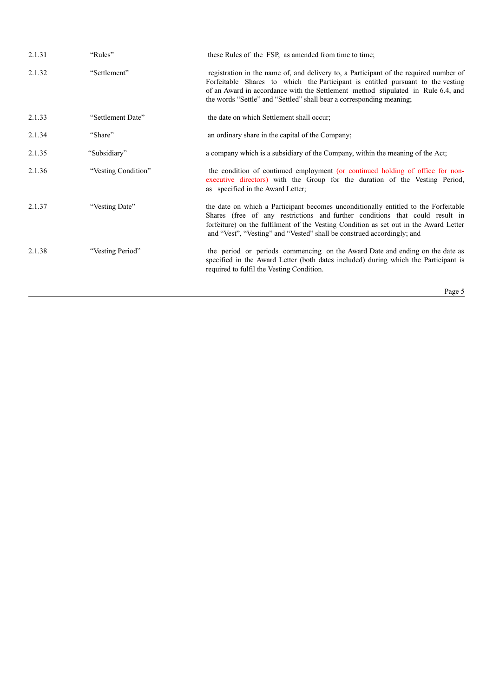| 2.1.31 | "Rules"             | these Rules of the FSP, as amended from time to time;                                                                                                                                                                                                                                                                                  |
|--------|---------------------|----------------------------------------------------------------------------------------------------------------------------------------------------------------------------------------------------------------------------------------------------------------------------------------------------------------------------------------|
| 2.1.32 | "Settlement"        | registration in the name of, and delivery to, a Participant of the required number of<br>Forfeitable Shares to which the Participant is entitled pursuant to the vesting<br>of an Award in accordance with the Settlement method stipulated in Rule 6.4, and<br>the words "Settle" and "Settled" shall bear a corresponding meaning;   |
| 2.1.33 | "Settlement Date"   | the date on which Settlement shall occur;                                                                                                                                                                                                                                                                                              |
| 2.1.34 | "Share"             | an ordinary share in the capital of the Company;                                                                                                                                                                                                                                                                                       |
| 2.1.35 | "Subsidiary"        | a company which is a subsidiary of the Company, within the meaning of the Act;                                                                                                                                                                                                                                                         |
| 2.1.36 | "Vesting Condition" | the condition of continued employment (or continued holding of office for non-<br>executive directors) with the Group for the duration of the Vesting Period,<br>as specified in the Award Letter;                                                                                                                                     |
| 2.1.37 | "Vesting Date"      | the date on which a Participant becomes unconditionally entitled to the Forfeitable<br>Shares (free of any restrictions and further conditions that could result in<br>forfeiture) on the fulfilment of the Vesting Condition as set out in the Award Letter<br>and "Vest", "Vesting" and "Vested" shall be construed accordingly; and |
| 2.1.38 | "Vesting Period"    | the period or periods commencing on the Award Date and ending on the date as<br>specified in the Award Letter (both dates included) during which the Participant is<br>required to fulfil the Vesting Condition.                                                                                                                       |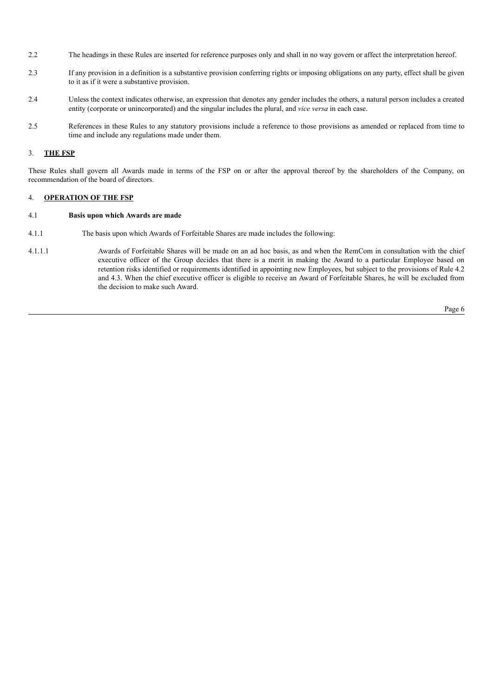- 2.2 The headings in these Rules are inserted for reference purposes only and shall in no way govern or affect the interpretation hereof.
- 2.3 If any provision in a definition is a substantive provision conferring rights or imposing obligations on any party, effect shall be given to it as if it were a substantive provision.
- 2.4 Unless the context indicates otherwise, an expression that denotes any gender includes the others, a natural person includes a created entity (corporate or unincorporated) and the singular includes the plural, and *vice versa* in each case.
- 2.5 References in these Rules to any statutory provisions include a reference to those provisions as amended or replaced from time to time and include any regulations made under them.

### 3. **THE FSP**

These Rules shall govern all Awards made in terms of the FSP on or after the approval thereof by the shareholders of the Company, on recommendation of the board of directors.

## 4. **OPERATION OF THE FSP**

### 4.1 **Basis upon which Awards are made**

- 4.1.1 The basis upon which Awards of Forfeitable Shares are made includes the following:
- 4.1.1.1 Awards of Forfeitable Shares will be made on an ad hoc basis, as and when the RemCom in consultation with the chief executive officer of the Group decides that there is a merit in making the Award to a particular Employee based on retention risks identified or requirements identified in appointing new Employees, but subject to the provisions of Rule 4.2 and 4.3. When the chief executive officer is eligible to receive an Award of Forfeitable Shares, he will be excluded from the decision to make such Award.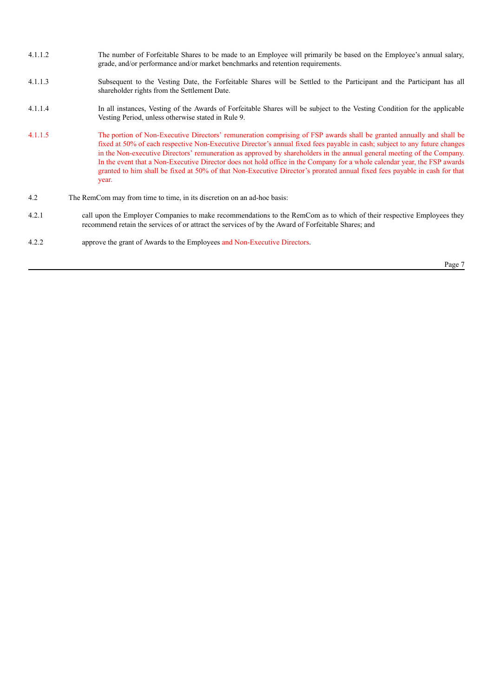- 4.1.1.2 The number of Forfeitable Shares to be made to an Employee will primarily be based on the Employee's annual salary, grade, and/or performance and/or market benchmarks and retention requirements.
- 4.1.1.3 Subsequent to the Vesting Date, the Forfeitable Shares will be Settled to the Participant and the Participant has all shareholder rights from the Settlement Date.
- 4.1.1.4 In all instances, Vesting of the Awards of Forfeitable Shares will be subject to the Vesting Condition for the applicable Vesting Period, unless otherwise stated in Rule 9.
- 4.1.1.5 The portion of Non-Executive Directors' remuneration comprising of FSP awards shall be granted annually and shall be fixed at 50% of each respective Non-Executive Director's annual fixed fees payable in cash; subject to any future changes in the Non-executive Directors' remuneration as approved by shareholders in the annual general meeting of the Company. In the event that a Non-Executive Director does not hold office in the Company for a whole calendar year, the FSP awards granted to him shall be fixed at 50% of that Non-Executive Director's prorated annual fixed fees payable in cash for that year.
- 4.2 The RemCom may from time to time, in its discretion on an ad-hoc basis:
- 4.2.1 call upon the Employer Companies to make recommendations to the RemCom as to which of their respective Employees they recommend retain the services of or attract the services of by the Award of Forfeitable Shares; and
- 4.2.2 approve the grant of Awards to the Employees and Non-Executive Directors.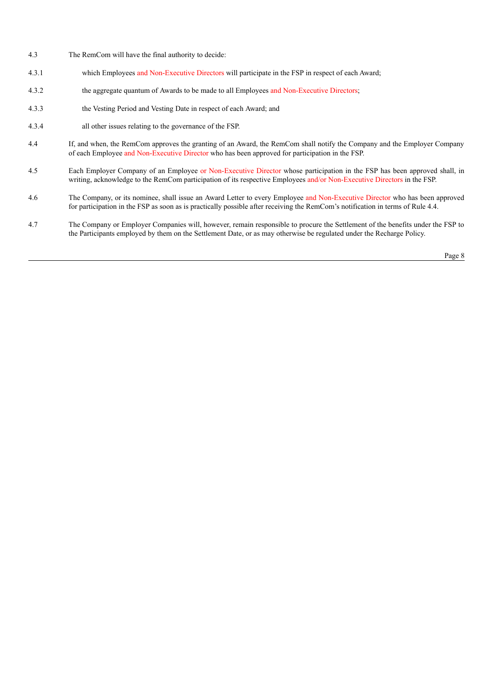- 4.3 The RemCom will have the final authority to decide:
- 4.3.1 which Employees and Non-Executive Directors will participate in the FSP in respect of each Award;
- 4.3.2 the aggregate quantum of Awards to be made to all Employees and Non-Executive Directors;
- 4.3.3 the Vesting Period and Vesting Date in respect of each Award; and
- 4.3.4 all other issues relating to the governance of the FSP.
- 4.4 If, and when, the RemCom approves the granting of an Award, the RemCom shall notify the Company and the Employer Company of each Employee and Non-Executive Director who has been approved for participation in the FSP.
- 4.5 Each Employer Company of an Employee or Non-Executive Director whose participation in the FSP has been approved shall, in writing, acknowledge to the RemCom participation of its respective Employees and/or Non-Executive Directors in the FSP.
- 4.6 The Company, or its nominee, shall issue an Award Letter to every Employee and Non-Executive Director who has been approved for participation in the FSP as soon as is practically possible after receiving the RemCom's notification in terms of Rule 4.4.
- 4.7 The Company or Employer Companies will, however, remain responsible to procure the Settlement of the benefits under the FSP to the Participants employed by them on the Settlement Date, or as may otherwise be regulated under the Recharge Policy.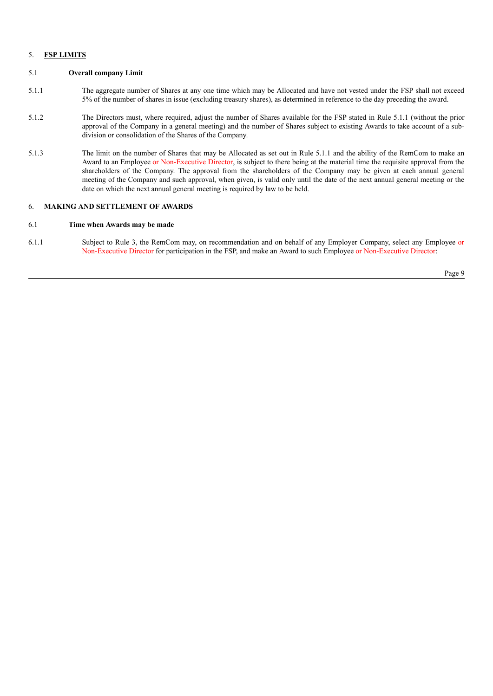### 5. **FSP LIMITS**

#### 5.1 **Overall company Limit**

- 5.1.1 The aggregate number of Shares at any one time which may be Allocated and have not vested under the FSP shall not exceed 5% of the number of shares in issue (excluding treasury shares), as determined in reference to the day preceding the award.
- 5.1.2 The Directors must, where required, adjust the number of Shares available for the FSP stated in Rule 5.1.1 (without the prior approval of the Company in a general meeting) and the number of Shares subject to existing Awards to take account of a subdivision or consolidation of the Shares of the Company.
- 5.1.3 The limit on the number of Shares that may be Allocated as set out in Rule 5.1.1 and the ability of the RemCom to make an Award to an Employee or Non-Executive Director, is subject to there being at the material time the requisite approval from the shareholders of the Company. The approval from the shareholders of the Company may be given at each annual general meeting of the Company and such approval, when given, is valid only until the date of the next annual general meeting or the date on which the next annual general meeting is required by law to be held.

### 6. **MAKING AND SETTLEMENT OF AWARDS**

### 6.1 **Time when Awards may be made**

6.1.1 Subject to Rule 3, the RemCom may, on recommendation and on behalf of any Employer Company, select any Employee or Non-Executive Director for participation in the FSP, and make an Award to such Employee or Non-Executive Director: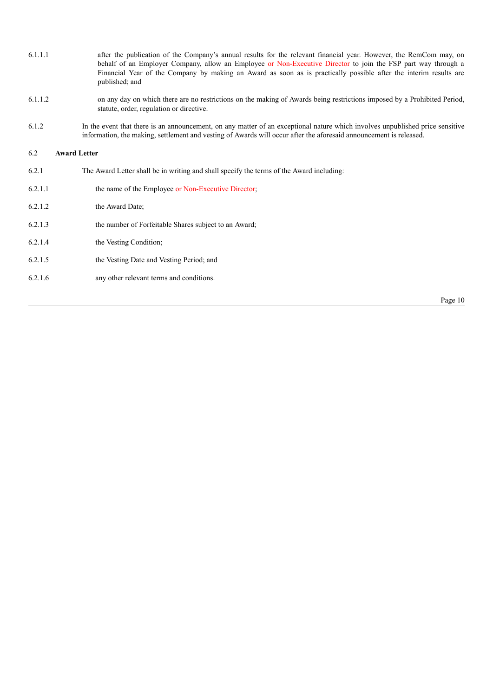| 6.1.1.1 | after the publication of the Company's annual results for the relevant financial year. However, the RemCom may, on |
|---------|--------------------------------------------------------------------------------------------------------------------|
|         | behalf of an Employer Company, allow an Employee or Non-Executive Director to join the FSP part way through a      |
|         | Financial Year of the Company by making an Award as soon as is practically possible after the interim results are  |
|         | published; and                                                                                                     |

- 6.1.1.2 on any day on which there are no restrictions on the making of Awards being restrictions imposed by a Prohibited Period, statute, order, regulation or directive.
- 6.1.2 In the event that there is an announcement, on any matter of an exceptional nature which involves unpublished price sensitive information, the making, settlement and vesting of Awards will occur after the aforesaid announcement is released.

#### 6.2 **Award Letter**

- 6.2.1 The Award Letter shall be in writing and shall specify the terms of the Award including:
- 6.2.1.1 the name of the Employee or Non-Executive Director;
- 6.2.1.2 the Award Date;
- 6.2.1.3 the number of Forfeitable Shares subject to an Award;
- 6.2.1.4 the Vesting Condition;
- 6.2.1.5 the Vesting Date and Vesting Period; and
- 6.2.1.6 any other relevant terms and conditions.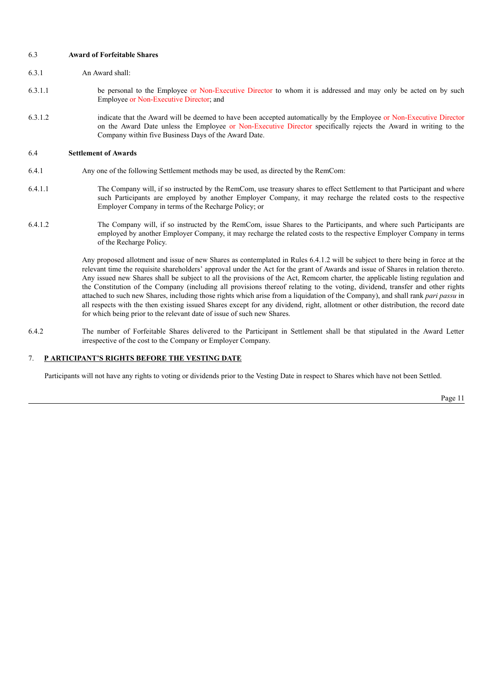6.3 **Award of Forfeitable Shares**

- 6.3.1 An Award shall:
- 6.3.1.1 be personal to the Employee or Non-Executive Director to whom it is addressed and may only be acted on by such Employee or Non-Executive Director; and
- 6.3.1.2 indicate that the Award will be deemed to have been accepted automatically by the Employee or Non-Executive Director on the Award Date unless the Employee or Non-Executive Director specifically rejects the Award in writing to the Company within five Business Days of the Award Date.

#### 6.4 **Settlement of Awards**

- 6.4.1 Any one of the following Settlement methods may be used, as directed by the RemCom:
- 6.4.1.1 The Company will, if so instructed by the RemCom, use treasury shares to effect Settlement to that Participant and where such Participants are employed by another Employer Company, it may recharge the related costs to the respective Employer Company in terms of the Recharge Policy; or
- 6.4.1.2 The Company will, if so instructed by the RemCom, issue Shares to the Participants, and where such Participants are employed by another Employer Company, it may recharge the related costs to the respective Employer Company in terms of the Recharge Policy.

Any proposed allotment and issue of new Shares as contemplated in Rules 6.4.1.2 will be subject to there being in force at the relevant time the requisite shareholders' approval under the Act for the grant of Awards and issue of Shares in relation thereto. Any issued new Shares shall be subject to all the provisions of the Act, Remcom charter, the applicable listing regulation and the Constitution of the Company (including all provisions thereof relating to the voting, dividend, transfer and other rights attached to such new Shares, including those rights which arise from a liquidation of the Company), and shall rank *pari passu* in all respects with the then existing issued Shares except for any dividend, right, allotment or other distribution, the record date for which being prior to the relevant date of issue of such new Shares.

6.4.2 The number of Forfeitable Shares delivered to the Participant in Settlement shall be that stipulated in the Award Letter irrespective of the cost to the Company or Employer Company.

#### 7. **P ARTICIPANT'S RIGHTS BEFORE THE VESTING DATE**

Participants will not have any rights to voting or dividends prior to the Vesting Date in respect to Shares which have not been Settled.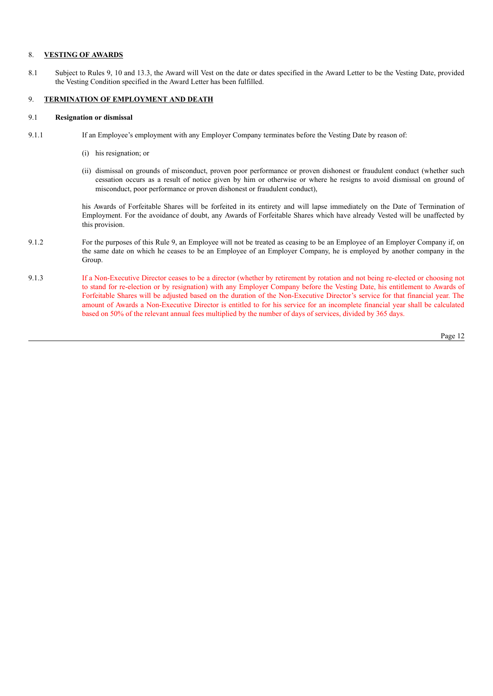## 8. **VESTING OF AWARDS**

8.1 Subject to Rules 9, 10 and 13.3, the Award will Vest on the date or dates specified in the Award Letter to be the Vesting Date, provided the Vesting Condition specified in the Award Letter has been fulfilled.

## 9. **TERMINATION OF EMPLOYMENT AND DEATH**

#### 9.1 **Resignation or dismissal**

- 9.1.1 If an Employee's employment with any Employer Company terminates before the Vesting Date by reason of:
	- (i) his resignation; or
	- (ii) dismissal on grounds of misconduct, proven poor performance or proven dishonest or fraudulent conduct (whether such cessation occurs as a result of notice given by him or otherwise or where he resigns to avoid dismissal on ground of misconduct, poor performance or proven dishonest or fraudulent conduct),

his Awards of Forfeitable Shares will be forfeited in its entirety and will lapse immediately on the Date of Termination of Employment. For the avoidance of doubt, any Awards of Forfeitable Shares which have already Vested will be unaffected by this provision.

- 9.1.2 For the purposes of this Rule 9, an Employee will not be treated as ceasing to be an Employee of an Employer Company if, on the same date on which he ceases to be an Employee of an Employer Company, he is employed by another company in the Group.
- 9.1.3 If a Non-Executive Director ceases to be a director (whether by retirement by rotation and not being re-elected or choosing not to stand for re-election or by resignation) with any Employer Company before the Vesting Date, his entitlement to Awards of Forfeitable Shares will be adjusted based on the duration of the Non-Executive Director's service for that financial year. The amount of Awards a Non-Executive Director is entitled to for his service for an incomplete financial year shall be calculated based on 50% of the relevant annual fees multiplied by the number of days of services, divided by 365 days.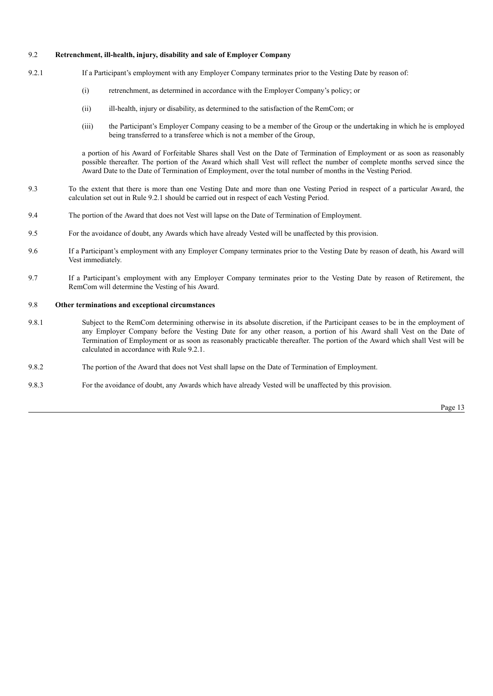### 9.2 **Retrenchment, ill-health, injury, disability and sale of Employer Company**

- 9.2.1 If a Participant's employment with any Employer Company terminates prior to the Vesting Date by reason of:
	- (i) retrenchment, as determined in accordance with the Employer Company's policy; or
	- (ii) ill-health, injury or disability, as determined to the satisfaction of the RemCom; or
	- (iii) the Participant's Employer Company ceasing to be a member of the Group or the undertaking in which he is employed being transferred to a transferee which is not a member of the Group,

a portion of his Award of Forfeitable Shares shall Vest on the Date of Termination of Employment or as soon as reasonably possible thereafter. The portion of the Award which shall Vest will reflect the number of complete months served since the Award Date to the Date of Termination of Employment, over the total number of months in the Vesting Period.

- 9.3 To the extent that there is more than one Vesting Date and more than one Vesting Period in respect of a particular Award, the calculation set out in Rule 9.2.1 should be carried out in respect of each Vesting Period.
- 9.4 The portion of the Award that does not Vest will lapse on the Date of Termination of Employment.
- 9.5 For the avoidance of doubt, any Awards which have already Vested will be unaffected by this provision.
- 9.6 If a Participant's employment with any Employer Company terminates prior to the Vesting Date by reason of death, his Award will Vest immediately.
- 9.7 If a Participant's employment with any Employer Company terminates prior to the Vesting Date by reason of Retirement, the RemCom will determine the Vesting of his Award.

### 9.8 **Other terminations and exceptional circumstances**

- 9.8.1 Subject to the RemCom determining otherwise in its absolute discretion, if the Participant ceases to be in the employment of any Employer Company before the Vesting Date for any other reason, a portion of his Award shall Vest on the Date of Termination of Employment or as soon as reasonably practicable thereafter. The portion of the Award which shall Vest will be calculated in accordance with Rule 9.2.1.
- 9.8.2 The portion of the Award that does not Vest shall lapse on the Date of Termination of Employment.
- 9.8.3 For the avoidance of doubt, any Awards which have already Vested will be unaffected by this provision.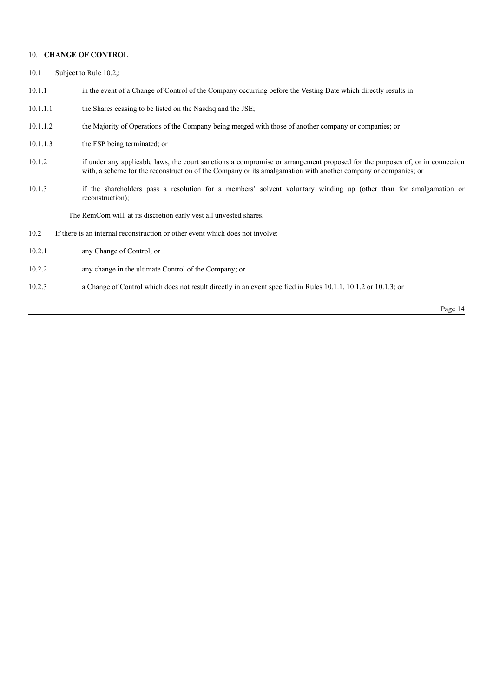### 10. **CHANGE OF CONTROL**

- 10.1 Subject to Rule 10.2,:
- 10.1.1 in the event of a Change of Control of the Company occurring before the Vesting Date which directly results in:
- 10.1.1.1 the Shares ceasing to be listed on the Nasdaq and the JSE;
- 10.1.1.2 the Majority of Operations of the Company being merged with those of another company or companies; or
- 10.1.1.3 the FSP being terminated; or
- 10.1.2 if under any applicable laws, the court sanctions a compromise or arrangement proposed for the purposes of, or in connection with, a scheme for the reconstruction of the Company or its amalgamation with another company or companies; or
- 10.1.3 if the shareholders pass a resolution for a members' solvent voluntary winding up (other than for amalgamation or reconstruction);

The RemCom will, at its discretion early vest all unvested shares.

- 10.2 If there is an internal reconstruction or other event which does not involve:
- 10.2.1 any Change of Control; or
- 10.2.2 any change in the ultimate Control of the Company; or
- 10.2.3 a Change of Control which does not result directly in an event specified in Rules 10.1.1, 10.1.2 or 10.1.3; or

Page 14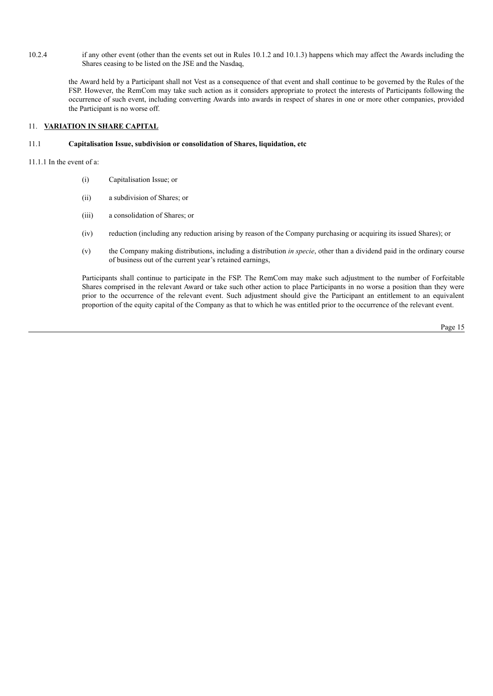10.2.4 if any other event (other than the events set out in Rules 10.1.2 and 10.1.3) happens which may affect the Awards including the Shares ceasing to be listed on the JSE and the Nasdaq,

the Award held by a Participant shall not Vest as a consequence of that event and shall continue to be governed by the Rules of the FSP. However, the RemCom may take such action as it considers appropriate to protect the interests of Participants following the occurrence of such event, including converting Awards into awards in respect of shares in one or more other companies, provided the Participant is no worse off.

## 11. **VARIATION IN SHARE CAPITAL**

#### 11.1 **Capitalisation Issue, subdivision or consolidation of Shares, liquidation, etc**

11.1.1 In the event of a:

- (i) Capitalisation Issue; or
- (ii) a subdivision of Shares; or
- (iii) a consolidation of Shares; or
- (iv) reduction (including any reduction arising by reason of the Company purchasing or acquiring its issued Shares); or
- (v) the Company making distributions, including a distribution *in specie*, other than a dividend paid in the ordinary course of business out of the current year's retained earnings,

Participants shall continue to participate in the FSP. The RemCom may make such adjustment to the number of Forfeitable Shares comprised in the relevant Award or take such other action to place Participants in no worse a position than they were prior to the occurrence of the relevant event. Such adjustment should give the Participant an entitlement to an equivalent proportion of the equity capital of the Company as that to which he was entitled prior to the occurrence of the relevant event.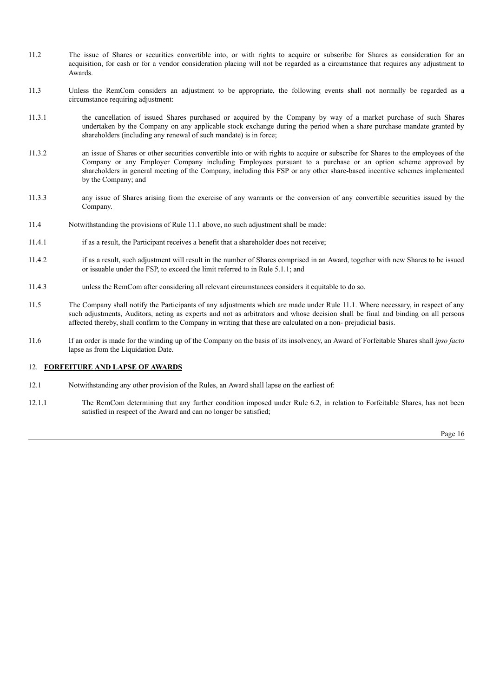- 11.2 The issue of Shares or securities convertible into, or with rights to acquire or subscribe for Shares as consideration for an acquisition, for cash or for a vendor consideration placing will not be regarded as a circumstance that requires any adjustment to Awards.
- 11.3 Unless the RemCom considers an adjustment to be appropriate, the following events shall not normally be regarded as a circumstance requiring adjustment:
- 11.3.1 the cancellation of issued Shares purchased or acquired by the Company by way of a market purchase of such Shares undertaken by the Company on any applicable stock exchange during the period when a share purchase mandate granted by shareholders (including any renewal of such mandate) is in force;
- 11.3.2 an issue of Shares or other securities convertible into or with rights to acquire or subscribe for Shares to the employees of the Company or any Employer Company including Employees pursuant to a purchase or an option scheme approved by shareholders in general meeting of the Company, including this FSP or any other share-based incentive schemes implemented by the Company; and
- 11.3.3 any issue of Shares arising from the exercise of any warrants or the conversion of any convertible securities issued by the Company.
- 11.4 Notwithstanding the provisions of Rule 11.1 above, no such adjustment shall be made:
- 11.4.1 if as a result, the Participant receives a benefit that a shareholder does not receive;
- 11.4.2 if as a result, such adjustment will result in the number of Shares comprised in an Award, together with new Shares to be issued or issuable under the FSP, to exceed the limit referred to in Rule 5.1.1; and
- 11.4.3 unless the RemCom after considering all relevant circumstances considers it equitable to do so.
- 11.5 The Company shall notify the Participants of any adjustments which are made under Rule 11.1. Where necessary, in respect of any such adjustments, Auditors, acting as experts and not as arbitrators and whose decision shall be final and binding on all persons affected thereby, shall confirm to the Company in writing that these are calculated on a non- prejudicial basis.
- 11.6 If an order is made for the winding up of the Company on the basis of its insolvency, an Award of Forfeitable Shares shall *ipso facto* lapse as from the Liquidation Date.

#### 12. **FORFEITURE AND LAPSE OF AWARDS**

- 12.1 Notwithstanding any other provision of the Rules, an Award shall lapse on the earliest of:
- 12.1.1 The RemCom determining that any further condition imposed under Rule 6.2, in relation to Forfeitable Shares, has not been satisfied in respect of the Award and can no longer be satisfied;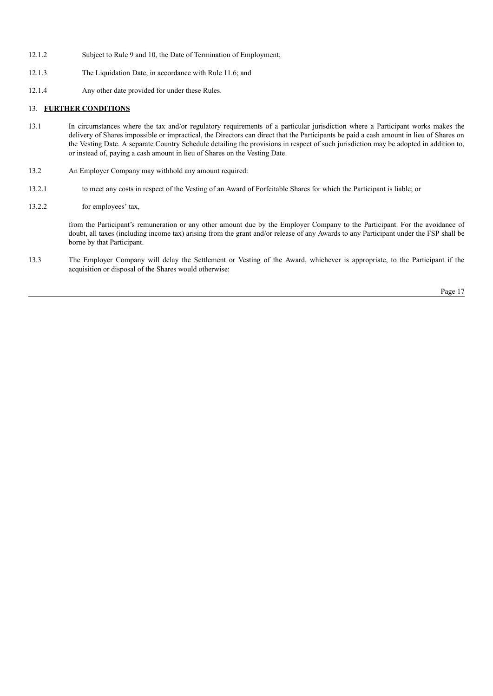- 12.1.2 Subject to Rule 9 and 10, the Date of Termination of Employment;
- 12.1.3 The Liquidation Date, in accordance with Rule 11.6; and
- 12.1.4 Any other date provided for under these Rules.

## 13. **FURTHER CONDITIONS**

- 13.1 In circumstances where the tax and/or regulatory requirements of a particular jurisdiction where a Participant works makes the delivery of Shares impossible or impractical, the Directors can direct that the Participants be paid a cash amount in lieu of Shares on the Vesting Date. A separate Country Schedule detailing the provisions in respect of such jurisdiction may be adopted in addition to, or instead of, paying a cash amount in lieu of Shares on the Vesting Date.
- 13.2 An Employer Company may withhold any amount required:
- 13.2.1 to meet any costs in respect of the Vesting of an Award of Forfeitable Shares for which the Participant is liable; or
- 13.2.2 for employees' tax,

from the Participant's remuneration or any other amount due by the Employer Company to the Participant. For the avoidance of doubt, all taxes (including income tax) arising from the grant and/or release of any Awards to any Participant under the FSP shall be borne by that Participant.

13.3 The Employer Company will delay the Settlement or Vesting of the Award, whichever is appropriate, to the Participant if the acquisition or disposal of the Shares would otherwise: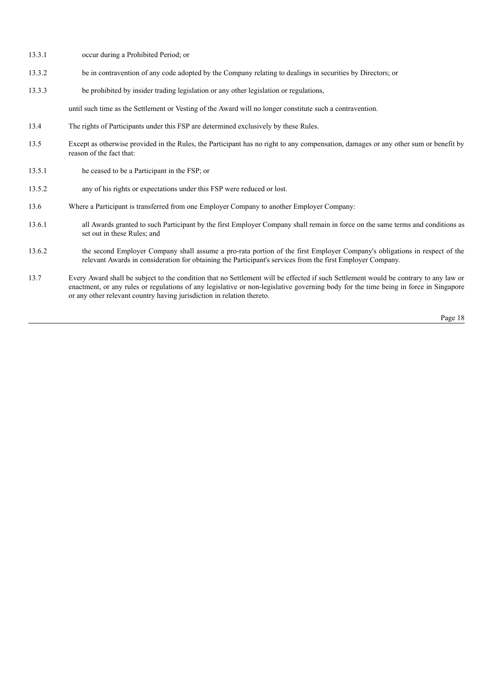- 13.3.1 occur during a Prohibited Period; or
- 13.3.2 be in contravention of any code adopted by the Company relating to dealings in securities by Directors; or
- 13.3.3 be prohibited by insider trading legislation or any other legislation or regulations,

until such time as the Settlement or Vesting of the Award will no longer constitute such a contravention.

- 13.4 The rights of Participants under this FSP are determined exclusively by these Rules.
- 13.5 Except as otherwise provided in the Rules, the Participant has no right to any compensation, damages or any other sum or benefit by reason of the fact that:
- 13.5.1 he ceased to be a Participant in the FSP; or
- 13.5.2 any of his rights or expectations under this FSP were reduced or lost.
- 13.6 Where a Participant is transferred from one Employer Company to another Employer Company:
- 13.6.1 all Awards granted to such Participant by the first Employer Company shall remain in force on the same terms and conditions as set out in these Rules; and
- 13.6.2 the second Employer Company shall assume a pro-rata portion of the first Employer Company's obligations in respect of the relevant Awards in consideration for obtaining the Participant's services from the first Employer Company.
- 13.7 Every Award shall be subject to the condition that no Settlement will be effected if such Settlement would be contrary to any law or enactment, or any rules or regulations of any legislative or non-legislative governing body for the time being in force in Singapore or any other relevant country having jurisdiction in relation thereto.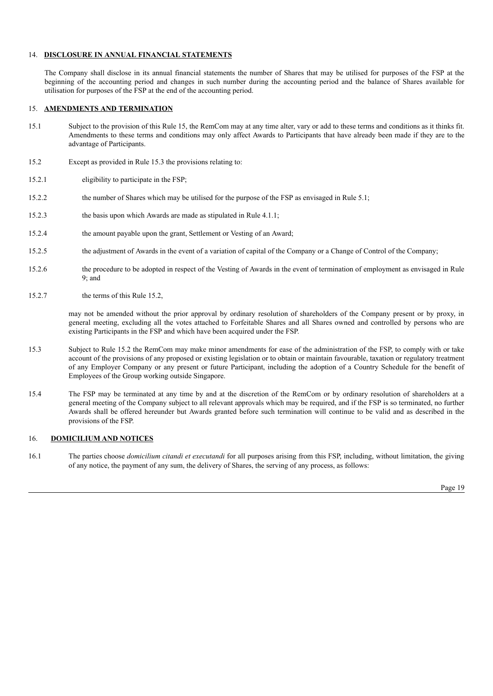## 14. **DISCLOSURE IN ANNUAL FINANCIAL STATEMENTS**

The Company shall disclose in its annual financial statements the number of Shares that may be utilised for purposes of the FSP at the beginning of the accounting period and changes in such number during the accounting period and the balance of Shares available for utilisation for purposes of the FSP at the end of the accounting period.

## 15. **AMENDMENTS AND TERMINATION**

- 15.1 Subject to the provision of this Rule 15, the RemCom may at any time alter, vary or add to these terms and conditions as it thinks fit. Amendments to these terms and conditions may only affect Awards to Participants that have already been made if they are to the advantage of Participants.
- 15.2 Except as provided in Rule 15.3 the provisions relating to:
- 15.2.1 eligibility to participate in the FSP;
- 15.2.2 the number of Shares which may be utilised for the purpose of the FSP as envisaged in Rule 5.1;
- 15.2.3 the basis upon which Awards are made as stipulated in Rule 4.1.1;
- 15.2.4 the amount payable upon the grant, Settlement or Vesting of an Award;
- 15.2.5 the adjustment of Awards in the event of a variation of capital of the Company or a Change of Control of the Company;
- 15.2.6 the procedure to be adopted in respect of the Vesting of Awards in the event of termination of employment as envisaged in Rule 9; and
- 15.2.7 the terms of this Rule 15.2,

may not be amended without the prior approval by ordinary resolution of shareholders of the Company present or by proxy, in general meeting, excluding all the votes attached to Forfeitable Shares and all Shares owned and controlled by persons who are existing Participants in the FSP and which have been acquired under the FSP.

- 15.3 Subject to Rule 15.2 the RemCom may make minor amendments for ease of the administration of the FSP, to comply with or take account of the provisions of any proposed or existing legislation or to obtain or maintain favourable, taxation or regulatory treatment of any Employer Company or any present or future Participant, including the adoption of a Country Schedule for the benefit of Employees of the Group working outside Singapore.
- 15.4 The FSP may be terminated at any time by and at the discretion of the RemCom or by ordinary resolution of shareholders at a general meeting of the Company subject to all relevant approvals which may be required, and if the FSP is so terminated, no further Awards shall be offered hereunder but Awards granted before such termination will continue to be valid and as described in the provisions of the FSP.

### 16. **DOMICILIUM AND NOTICES**

16.1 The parties choose *domicilium citandi et executandi* for all purposes arising from this FSP, including, without limitation, the giving of any notice, the payment of any sum, the delivery of Shares, the serving of any process, as follows: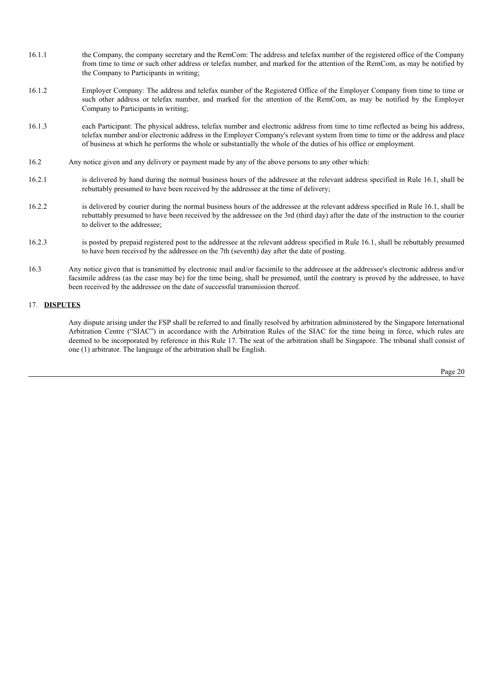- 16.1.1 the Company, the company secretary and the RemCom: The address and telefax number of the registered office of the Company from time to time or such other address or telefax number, and marked for the attention of the RemCom, as may be notified by the Company to Participants in writing;
- 16.1.2 Employer Company: The address and telefax number of the Registered Office of the Employer Company from time to time or such other address or telefax number, and marked for the attention of the RemCom, as may be notified by the Employer Company to Participants in writing;
- 16.1.3 each Participant: The physical address, telefax number and electronic address from time to time reflected as being his address, telefax number and/or electronic address in the Employer Company's relevant system from time to time or the address and place of business at which he performs the whole or substantially the whole of the duties of his office or employment.
- 16.2 Any notice given and any delivery or payment made by any of the above persons to any other which:
- 16.2.1 is delivered by hand during the normal business hours of the addressee at the relevant address specified in Rule 16.1, shall be rebuttably presumed to have been received by the addressee at the time of delivery;
- 16.2.2 is delivered by courier during the normal business hours of the addressee at the relevant address specified in Rule 16.1, shall be rebuttably presumed to have been received by the addressee on the 3rd (third day) after the date of the instruction to the courier to deliver to the addressee;
- 16.2.3 is posted by prepaid registered post to the addressee at the relevant address specified in Rule 16.1, shall be rebuttably presumed to have been received by the addressee on the 7th (seventh) day after the date of posting.
- 16.3 Any notice given that is transmitted by electronic mail and/or facsimile to the addressee at the addressee's electronic address and/or facsimile address (as the case may be) for the time being, shall be presumed, until the contrary is proved by the addressee, to have been received by the addressee on the date of successful transmission thereof.

# 17. **DISPUTES**

Any dispute arising under the FSP shall be referred to and finally resolved by arbitration administered by the Singapore International Arbitration Centre ("SIAC") in accordance with the Arbitration Rules of the SIAC for the time being in force, which rules are deemed to be incorporated by reference in this Rule 17. The seat of the arbitration shall be Singapore. The tribunal shall consist of one (1) arbitrator. The language of the arbitration shall be English.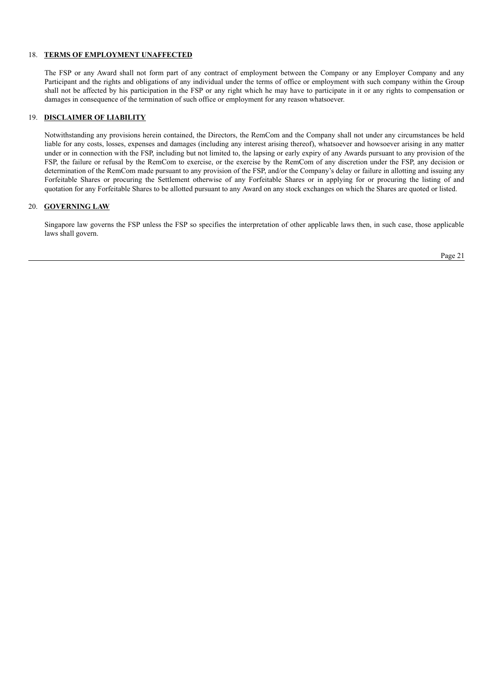## 18. **TERMS OF EMPLOYMENT UNAFFECTED**

The FSP or any Award shall not form part of any contract of employment between the Company or any Employer Company and any Participant and the rights and obligations of any individual under the terms of office or employment with such company within the Group shall not be affected by his participation in the FSP or any right which he may have to participate in it or any rights to compensation or damages in consequence of the termination of such office or employment for any reason whatsoever.

### 19. **DISCLAIMER OF LIABILITY**

Notwithstanding any provisions herein contained, the Directors, the RemCom and the Company shall not under any circumstances be held liable for any costs, losses, expenses and damages (including any interest arising thereof), whatsoever and howsoever arising in any matter under or in connection with the FSP, including but not limited to, the lapsing or early expiry of any Awards pursuant to any provision of the FSP, the failure or refusal by the RemCom to exercise, or the exercise by the RemCom of any discretion under the FSP, any decision or determination of the RemCom made pursuant to any provision of the FSP, and/or the Company's delay or failure in allotting and issuing any Forfeitable Shares or procuring the Settlement otherwise of any Forfeitable Shares or in applying for or procuring the listing of and quotation for any Forfeitable Shares to be allotted pursuant to any Award on any stock exchanges on which the Shares are quoted or listed.

### 20. **GOVERNING LAW**

Singapore law governs the FSP unless the FSP so specifies the interpretation of other applicable laws then, in such case, those applicable laws shall govern.